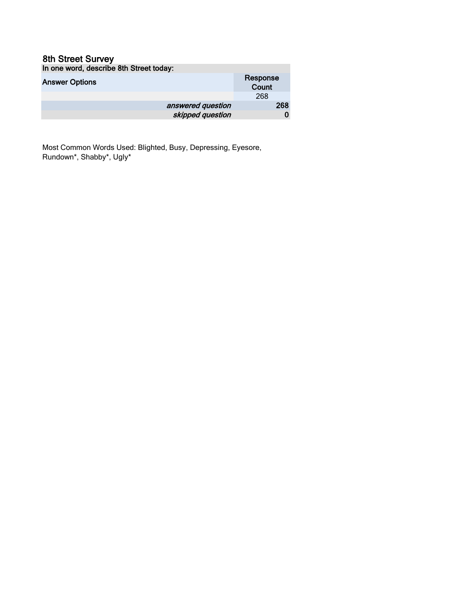#### 8th Street Survey In one word, describe 8th Street today:

| <b>IT ONE WORK, GOOGHDO OUT ONOCK ROUGH.</b> |          |
|----------------------------------------------|----------|
| <b>Answer Options</b>                        | Response |
|                                              | Count    |
|                                              | 268      |
| answered question                            | 268      |
| skipped question                             |          |

Most Common Words Used: Blighted, Busy, Depressing, Eyesore, Rundown\*, Shabby\*, Ugly\*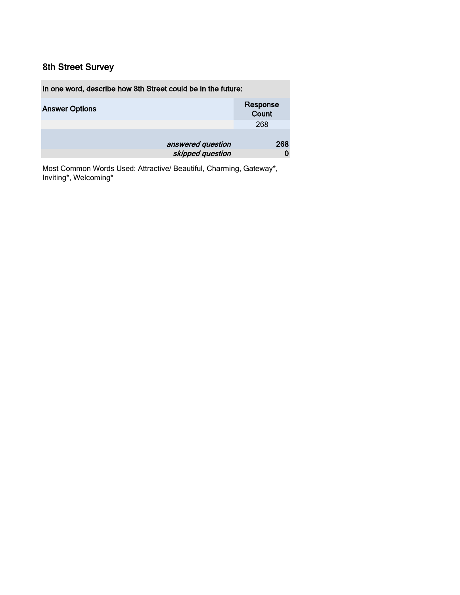| In one word, describe how 8th Street could be in the future: |                   |  |
|--------------------------------------------------------------|-------------------|--|
| <b>Answer Options</b>                                        | Response<br>Count |  |
|                                                              | 268               |  |
| answered question                                            | 268               |  |
| skipped question                                             |                   |  |

Most Common Words Used: Attractive/ Beautiful, Charming, Gateway\*, Inviting\*, Welcoming\*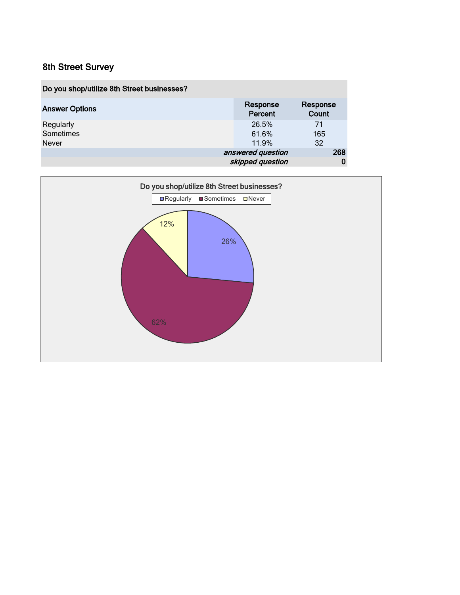| Do you shop/utilize 8th Street businesses? |                     |                   |     |
|--------------------------------------------|---------------------|-------------------|-----|
| <b>Answer Options</b>                      | Response<br>Percent | Response<br>Count |     |
| Regularly                                  | 26.5%               | 71                |     |
| Sometimes                                  | 61.6%               | 165               |     |
| <b>Never</b>                               | 11.9%               | 32                |     |
|                                            | answered question   |                   | 268 |
|                                            | skipped question    |                   |     |

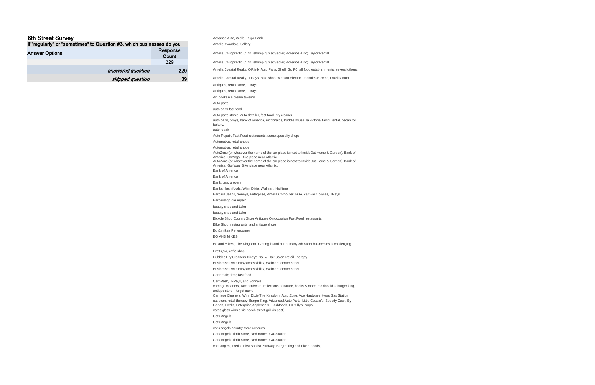Advance Auto, Wells Fargo Bank Amelia Awards & Gallery Amelia Chiropractic Clinic; shrimp guy at Sadler; Advance Auto; Taylor Rental Amelia Chiropractic Clinic; shrimp guy at Sadler; Advance Auto; Taylor Rental Amelia Coastal Realty, O'Rielly Auto Parts, Shell, Go PC, all food establishments, several others. Amelia Coastal Realty, T Rays, Bike shop, Watson Electric, Johnnies Electric, OReilly Auto Antiques, rental store, T Rays Antiques, rental store, T Rays Art books ice cream taverns Auto parts auto parts fast food Auto parts stores, auto detailer, fast food, dry cleaner. auto parts, t-rays, bank of america, mcdonalds, huddle house, la victoria, taylor rental, pecan roll bakery, auto repair Auto Repair, Fast Food restaurants, some specialty shops Automotive, retail shops Automotive, retail shops AutoZone (or whatever the name of the car place is next to InsideOut Home & Garden). Bank of America. GoYoga. Bike place near Atlantic. AutoZone (or whatever the name of the car place is next to InsideOut Home & Garden). Bank of America. GoYoga. Bike place near Atlantic. Bank of America Bank of America Bank, gas, grocery Banks, flash foods, Winn Dixie, Walmart, Halftime Barbara Jeans, Sonnys, Enterprise, Amelia Computer, BOA, car wash places, TRays Barbershop car repair beauty shop and tailor beauty shop and tailor Bicycle Shop Country Store Antiques On occasion Fast Food restaurants Bike Shop, restaurants, and antique shops Bo & mikes Pet groomer BO AND MIKES Bo and Mike's, Tire Kingdom. Getting in and out of many 8th Sreet businesses is challenging. Bretts,cio, coffe shop Bubbles Dry Cleaners Cindy's Nail & Hair Salon Retail Therapy Businesses with easy accessibility, Walmart, center street Businesses with easy accessibility, Walmart, center street Car repair; tires; fast food Car Wash, T-Rays, and Sonny's carriage cleaners, Ace hardware, reflections of nature, books & more, mc donald's, burger king, antique store - forget name Carriage Cleaners, Winn Dixie Tire Kingdom, Auto Zone, Ace Hardware, Hess Gas Station cat store, retail therapy, Burger King, Advanced Auto Parts, Little Ceasar's, Speedy Cash, By Gones, Fred's, Enterprise,Applebee's, Flashfoods, O'Reilly's, Napa cates glass winn dixie beech street grill (in past) Cats Angels Cats Angels cat's angels country store antiques Cats Angels Thrift Store, Red Bones, Gas station Cats Angels Thrift Store, Red Bones, Gas station

| If "regularly" or "sometimes" to Question #3, which businesses do you |                   |
|-----------------------------------------------------------------------|-------------------|
| <b>Answer Options</b>                                                 | Response<br>Count |
|                                                                       | 229               |
| answered question                                                     | 229               |
| skipped question                                                      | 39                |

cats angels, Fred's, First Baptist, Subway, Burger king and Flash Foods,

#### 8th Street Survey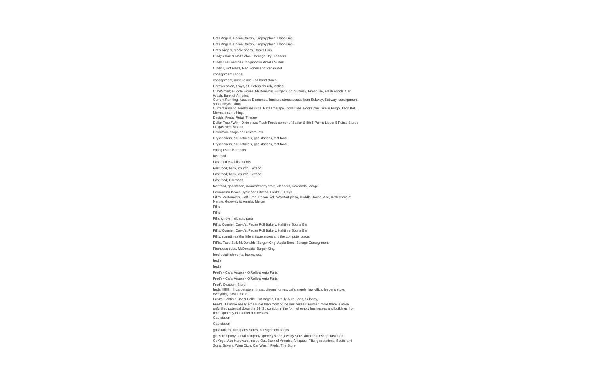Cats Angels, Pecan Bakery, Trophy place, Flash Gas, Cats Angels, Pecan Bakery, Trophy place, Flash Gas, Cat's Angels, resale shops, Books Plus Cindy's Hair & Nail Salon; Carriage Dry Cleaners Cindy's nail and hair; Yogapod in Amelia Suites Cindy's, Hot Paws, Red Bones and Pecan Roll consignment shops consignment, antique and 2nd hand stores Cormier salon, t rays, St. Peters church, tasties CubeSmart; Huddle House, McDonald's, Burger King, Subway, Firehouse, Flash Foods, Car Wash, Bank of America Current Running, Nassau Diamonds, furniture stores across from Subway, Subway, consignment shop, bicycle shop Current running. Firehouse subs. Retail therapy. Dollar tree. Books plus. Wells Fargo. Taco Bell. Mermaid something. Davids, Freds, Retail Therapy Dollar Tree / Winn Dixie plaza Flash Foods corner of Sadler & 8th 5 Points Liquor 5 Points Store / LP gas Hess station Downtown shops and restaraunts. Dry cleaners, car detailers, gas stations, fast food Dry cleaners, car detailers, gas stations, fast food eating establishments fast food Fast food establishments Fast food, bank, church, Texaco Fast food, bank, church, Texaco Fast food, Car wash, fast food, gas station, awards/trophy store, cleaners, Rowlands, Merge Fernandina Beach Cycle and Fitness, Fred's, T-Rays Fifi"s, McDonald's, Half-Time, Pecan Roll, WalMart plaza, Huddle House, Ace, Reflections of Nature, Gateway to Amelia, Merge Fifi's Fifi's Fifis, cindys nail, auto parts Fifi's, Cormier, David's, Pecan Roll Bakery, Halftime Sports Bar Fifi's, Cormier, David's, Pecan Roll Bakery, Halftime Sports Bar Fifi's, sometimes the little antique stores and the computer place. FiFi's, Taco Bell, McDonalds, Burger King, Apple Bees, Savage Consignment Firehouse subs, McDonalds, Burger King, food establishments, banks, retail fred's fred's Fred's - Cat's Angels - O'Reilly's Auto Parts Fred's - Cat's Angels - O'Reilly's Auto Parts Fred's Discount Store freds!!!!!!!!!!!!! carpet store, t-rays, citrona homes, cat's angels, law office, leeper's store, everything past Lime St. Fred's, Halftime Bar & Grille, Cat Angels, O'Reilly Auto Parts, Subway, Fred's. It's more easily accessible than most of the businesses. Further, more there is more unfulfilled potential down the 8th St. corridor in the form of empty businesses and buildings from times gone by than other businesses. Gas station Gas station gas stations, auto parts stores, consignment shops glass company, rental company, grocery store, jewelry store, auto repair shop, fast food GoYoga, Ace Hardware, Inside Out, Bank of America,Antiques, Fifis, gas stations, Scotts and

Sons, Bakery, Winn Dixie, Car Wash, Freds, Tire Store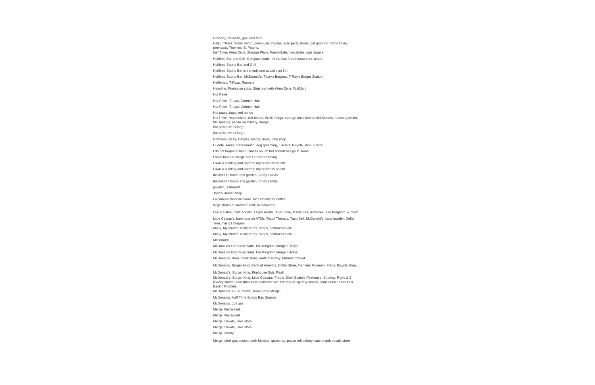Grocery, car wash, gas, fast food H&H, T'Rays, Wells Fargo, previously Staples, auto parts stores, pet groomer, Winn Dixie, previously Townies, St Peter's. half Time, Winn Dixie, Storage Place, FamilySafe, megabites, cats angels Halftime Bar and Grill, Compass bank, all the fast food restaurants, others Halftime Sports Bar and Grill Halftime Sports Bar is the only one actually on 8th. Halftime Sports Bar, McDonald's, Tasty's Burgers, T-Ray's Burger Station Halftimes, T-Rays, Runners Havoline, Firehouse subs, Strip mall with Winn Dixie, WalMart Hot Paws Hot Paws, T-rays, Cormier Hair Hot Paws, T-rays, Cormier Hair Hot paws, trays, red bones Hot Paws, waterwheel, red bones, Wells Fargo, storage units next to old Staples, nassau jeweler, McDonalds, pecan roll bakery, merge, hot paws, wells fargo hot paws, wells fargo HotPaws, pizza, David's, Merge, diner, bike shop Huddle House, Veterinarian, dog grooming, T-Ray's, Bicycle Shop, Fred's. I do not frequent any business on 8th but sometimes go in some. I have been to Merge and Current Running I own a building and operate my business on 8th I own a building and operate my business on 8th InsideOUT home and garden, Cindy's Nails InsideOUT home and garden, Cindy's Nails jeweler, resturants John's Barber shop La Surena Mexican Store. Mc Donalds for coffee. large stores at southern end; bars/taverns Lee & Cates, Cats Angels, Taylor Rental, Auto Zone, Inside Out, Armoires, Tire Kingdom, & more. Little Caesar's, bank branch ATMs, Retail Therapy, Taco Bell, McDonald's, local jeweler, Dollar Tree, Tasty's burgers Many. My church, restaurants, shops, contractors etc. Many. My church, restaurants, shops, contractors etc. Mcdonalds McDonalds Firehouse Subs Tire Kingdom Merge T-Rays McDonalds Firehouse Subs Tire Kingdom Merge T-Rays McDonalds, Bank, book store, route to library, farmers market McDonalds, Burger King, Bank of America, Dollar Store, Mariners Museum, Freds, Bicycle shop, McDonald's, Burger King, Firehouse Sub, Flash McDonald's, Burger King, Little Caesars, Fred's, Shell Station, Firehouse, Subway, Ray's & 2 jewelry stores. Also (thanks to someone with the city being very smart), soon Dunkin Donuts & Baskin Robbins. McDonalds, FiFi's, banks,Dollar Store,Merge, McDonalds, Half Time Sports Bar, Sonnys McDonalds, Joy gas Merge Restaurant Merge Restaurant Merge, Davids, Bike store Merge, Davids, Bike store Merge, Imetry Merge, shell gas station, both Mexican groceries, pecan roll bakery, cats angels resale store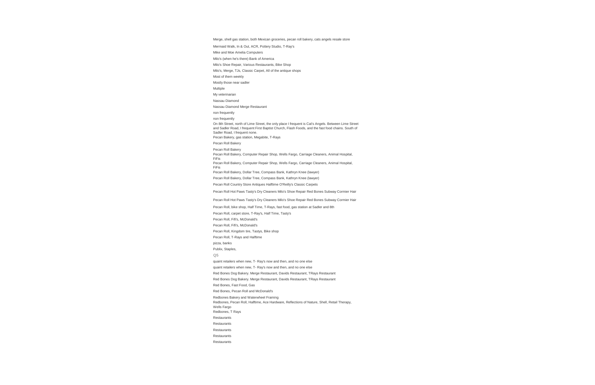Merge, shell gas station, both Mexican groceries, pecan roll bakery, cats angels resale store

Mermaid Walk, In & Out, ACR, Pottery Studio, T-Ray's

Mike and Moe Amelia Computers

Milo's (when he's there) Bank of America

On 8th Street, north of Lime Street, the only place I frequent is Cat's Angels. Between Lime Street and Sadler Road, I frequent First Baptist Church, Flash Foods, and the fast food chains. South of Sadler Road, I frequent none.

Milo's Shoe Repair, Various Restaurants, Bike Shop

Milo's, Merge, TJs, Classic Carpet, All of the antique shops

Most of them weekly

Mostly those near sadler

Multiple

My veterinarian

Nassau Diamond

Nassau Diamond Merge Restaurant

non frequently

non frequently

Pecan Bakery, gas station, Megabite, T-Rays

Pecan Roll Bakery

Pecan Roll Bakery

Pecan Roll Bakery, Computer Repair Shop, Wells Fargo, Carriage Cleaners, Animal Hospital, FiFis

Pecan Roll Bakery, Computer Repair Shop, Wells Fargo, Carriage Cleaners, Animal Hospital, FiFis

Pecan Roll Bakery, Dollar Tree, Compass Bank, Kathryn Knee (lawyer)

Pecan Roll Bakery, Dollar Tree, Compass Bank, Kathryn Knee (lawyer)

Pecan Roll Country Store Antiques Halftime O'Reilly's Classic Carpets

Pecan Roll Hot Paws Tasty's Dry Cleaners Milo's Shoe Repair Red Bones Subway Cormier Hair

Pecan Roll Hot Paws Tasty's Dry Cleaners Milo's Shoe Repair Red Bones Subway Cormier Hair

Pecan Roll, bike shop, Half Time, T-Rays, fast food, gas station at Sadler and 8th

Pecan Roll, carpet store, T-Ray's, Half Time, Tasty's

Pecan Roll, Fifi's, McDonald's

Pecan Roll, Fifi's, McDonald's

Pecan Roll, Kingdom tire, Tastys, Bike shop

Pecan Roll, T-Rays and Halftime

pizza, banks

Publix, Staples,

**Q5**

quaint retailers when new, T- Ray's now and then, and no one else

quaint retailers when new, T- Ray's now and then, and no one else

Red Bones Dog Bakery. Merge Restaurant, Davids Restaurant, TRays Restaurant

Red Bones Dog Bakery. Merge Restaurant, Davids Restaurant, TRays Restaurant

Red Bones, Fast Food, Gas

Red Bones, Pecan Roll and McDonald's

Redbones Bakery and Waterwheel Framing

Redbones, Pecan Roll, Halftime, Ace Hardware, Reflections of Nature, Shell, Retail Therapy, Wells Fargo

Redbones, T Rays

Restaurants

Restaurants

Restaurants

Restaurants

Restaurants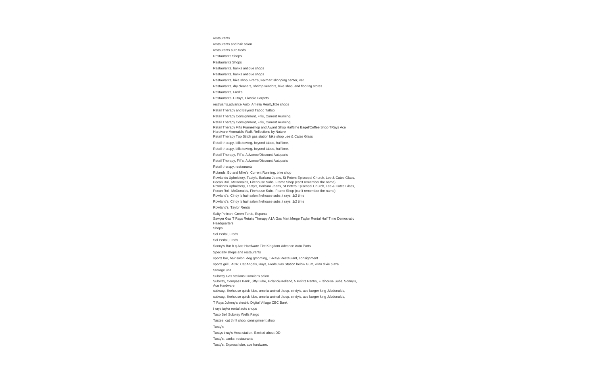restaurants

restaurants and hair salon

restaurants auto freds

Restaurants Shops

Restaurants Shops

Restaurants, banks antique shops

Restaurants, banks antique shops

Restaurants, bike shop, Fred's, walmart shopping center, vet

Restaurants, dry cleaners, shrimp vendors, bike shop, and flooring stores

Restaurants, Fred's

Restaurants-T-Rays, Classic Carpets

restruants,advance Auto, Amelia Realty,little shops

Retail Therapy and Beyond Taboo Tattoo

Retail Therapy Consignment, Fifis, Current Running

Retail Therapy Consignment, Fifis, Current Running

Retail Therapy Fifis Frameshop and Award Shop Halftime Bagel/Coffee Shop TRays Ace Hardware Mermaid's Walk Reflections by Nature

Retail Therapy Top Stitch gas station bike shop Lee & Cates Glass

Retail therapy, bills towing, beyond taboo, halftime,

Retail therapy, bills towing, beyond taboo, halftime,

Retail Therapy, Fifi's, Advance/Discount Autoparts

Retail Therapy, Fifi's, Advance/Discount Autoparts

Retail therapy, restaurants

Rolands, Bo and Mike's, Current Running, bike shop

Rowlands Upholstery, Tasty's, Barbara Jeans, St Peters Episcopal Church, Lee & Cates Glass, Pecan Roll, McDonalds, Firehouse Subs, Frame Shop (can't remember the name) Rowlands Upholstery, Tasty's, Barbara Jeans, St Peters Episcopal Church, Lee & Cates Glass, Pecan Roll, McDonalds, Firehouse Subs, Frame Shop (can't remember the name) Rowland's, Cindy 's hair salon,firehouse subs.,t rays, 1/2 time

Rowland's, Cindy 's hair salon,firehouse subs.,t rays, 1/2 time

Rowland's, Taylor Rental

Salty Pelican, Green Turtle, Espana

Sawyer Gas T Rays Retails Therapy A1A Gas Mart Merge Taylor Rental Half Time Democratic Headquarters

Shops

Sol Pedal, Freds

Sol Pedal, Freds

Sonny's Bar b q Ace Hardware Tire Kingdom Advance Auto Parts

Specialty shops and restaurants

sports bar, hair salon, dog grooming, T-Rays Restaurant, consignment

sports grill , ACR, Cat Angels, Rays, Freds,Gas Station below Gum, winn dixie plaza

Storage unit

Subway Gas stations Cormier's salon

Subway, Compass Bank, Jiffy Lube, Holand&Holland, 5 Points Pantry, Firehouse Subs, Sonny's, Ace Hardware

subway,, firehouse quick lube, amelia animal ,hosp. cindy's, ace burger king ,Mcdonalds,

subway,, firehouse quick lube, amelia animal ,hosp. cindy's, ace burger king ,Mcdonalds,

T Rays Johnny's electric Digital Village CBC Bank

t rays taylor rental auto shops

Taco Bell Subway Wells Fargo

Tastee, cat thrift shop, consignment shop

Tasty's

Tastys t-ray's Hess station. Excited about DD

Tasty's, banks, restaurants

Tasty's. Express lube, ace hardware.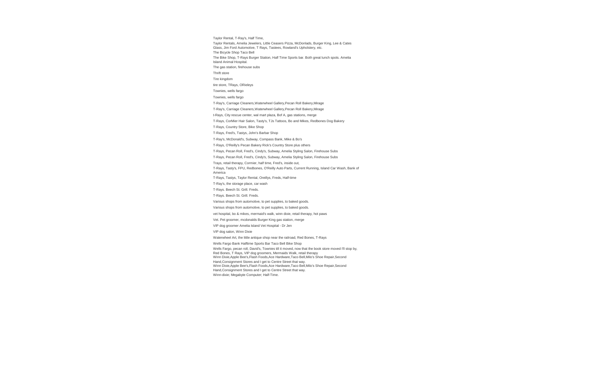Taylor Rental, T-Ray's, Half Time, Taylor Rentals, Amelia Jewelers, Little Ceasers Pizza, McDonlads, Burger King, Lee & Cates Glass, Jim Ford Automotive, T Rays, Tastees, Rowland's Upholstery, etc. The Bicycle Shop Taco Bell

The Bike Shop, T-Rays Burger Station, Half Time Sports bar. Both great lunch spots. Amelia

Island Animal Hospital. The gas station, firehouse subs

Thrift store

Tire kingdom

tire store, TRays, ORieleys

Townies, wells fargo

Townies, wells fargo

T-Ray's, Carriage Cleaners,Waterwheel Gallery,Pecan Roll Bakery,Mirage

T-Ray's, Carriage Cleaners,Waterwheel Gallery,Pecan Roll Bakery,Mirage

t-Rays, City rescue center, wal mart plaza, Bof A, gas stations, merge

T-Rays, CorMier Hair Salon, Tasty's, TJs Tattoos, Bo and Mikes, Redbones Dog Bakery

T-Rays, Country Store, Bike Shop

T-Rays, Fred's, Tastys, John's Barbar Shop

T-Ray's, McDonald's, Subway, Compass Bank, Mike & Bo's

T-Rays, O'Reilly's Pecan Bakery Rick's Country Store plus others

T-Rays, Pecan Roll, Fred's, Cindy's, Subway, Amelia Styling Salon, Firehouse Subs

T-Rays, Pecan Roll, Fred's, Cindy's, Subway, Amelia Styling Salon, Firehouse Subs

Trays, retail therapy, Cormier, half time, Fred's, inside out,

T-Rays, Tasty's, FPU, Redbones, O'Reilly Auto Parts, Current Running, Island Car Wash, Bank of America

T-Rays, Tastys, Taylor Rental, Oreillys, Freds, Half-time

T-Ray's, the storage place, car wash

T-Rays. Beech St. Grill. Freds.

T-Rays. Beech St. Grill. Freds.

Various shops from automotive, to pet supplies, to baked goods.

Various shops from automotive, to pet supplies, to baked goods.

vet hospital, bo & mikes, mermaid's walk, winn dixie, retail therapy, hot paws

Vet. Pet groomer, mcdonalds Burger King gas station, merge

VIP dog groomer Amelia Island Vet Hospital - Dr Jen

VIP dog salon, Winn Dixie

Waterwheel Art, the little antique shop near the railroad, Red Bones, T-Rays

Wells Fargo Bank Halftime Sports Bar Taco Bell Bike Shop

Wells Fargo, pecan roll, David's, Townies till it moved, now that the book store moved I'll stop by,

Red Bones, T Rays, VIP dog groomers, Mermaids Walk, retail therapy Winn Dixie,Apple Bee's,Flash Foods,Ace Hardware,Taco Bell,Milo's Shoe Repair,Second

Hand,Consignment Stores and I get to Centre Street that way.

Winn Dixie,Apple Bee's,Flash Foods,Ace Hardware,Taco Bell,Milo's Shoe Repair,Second

Hand,Consignment Stores and I get to Centre Street that way.

Winn-dixie; Megabyte Computer; Half-Time.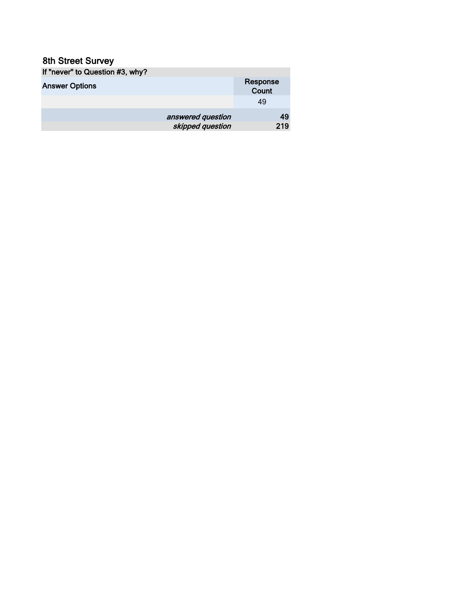| If "never" to Question #3, why? |                   |
|---------------------------------|-------------------|
| <b>Answer Options</b>           | Response<br>Count |
|                                 | 49                |
| answered question               | 49                |
| skipped question                | 219               |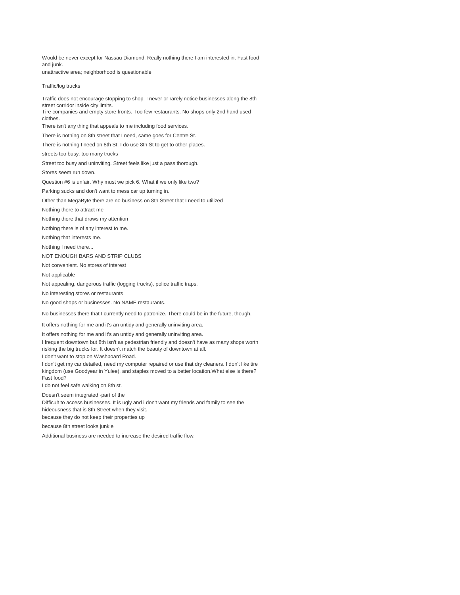Would be never except for Nassau Diamond. Really nothing there I am interested in. Fast food and junk. unattractive area; neighborhood is questionable

#### Traffic/log trucks

Traffic does not encourage stopping to shop. I never or rarely notice businesses along the 8th street corridor inside city limits. Tire companies and empty store fronts. Too few restaurants. No shops only 2nd hand used clothes. There isn't any thing that appeals to me including food services. There is nothing on 8th street that I need, same goes for Centre St. There is nothing I need on 8th St. I do use 8th St to get to other places. streets too busy, too many trucks Street too busy and uninviting. Street feels like just a pass thorough. Stores seem run down. Question #6 is unfair. Why must we pick 6. What if we only like two? Parking sucks and don't want to mess car up turning in. Other than MegaByte there are no business on 8th Street that I need to utilized Nothing there to attract me Nothing there that draws my attention Nothing there is of any interest to me. Nothing that interests me. Nothing I need there... NOT ENOUGH BARS AND STRIP CLUBS Not convenient. No stores of interest Not applicable Not appealing, dangerous traffic (logging trucks), police traffic traps. No interesting stores or restaurants No good shops or businesses. No NAME restaurants. No businesses there that I currently need to patronize. There could be in the future, though.

It offers nothing for me and it's an untidy and generally uninviting area.

It offers nothing for me and it's an untidy and generally uninviting area.

I frequent downtown but 8th isn't as pedestrian friendly and doesn't have as many shops worth risking the big trucks for. It doesn't match the beauty of downtown at all.

I don't want to stop on Washboard Road.

I don't get my car detailed, need my computer repaired or use that dry cleaners. I don't like tire kingdom (use Goodyear in Yulee), and staples moved to a better location.What else is there? Fast food?

I do not feel safe walking on 8th st.

Doesn't seem integrated -part of the

Difficult to access businesses. It is ugly and i don't want my friends and family to see the hideousness that is 8th Street when they visit.

because they do not keep their properties up

because 8th street looks junkie

Additional business are needed to increase the desired traffic flow.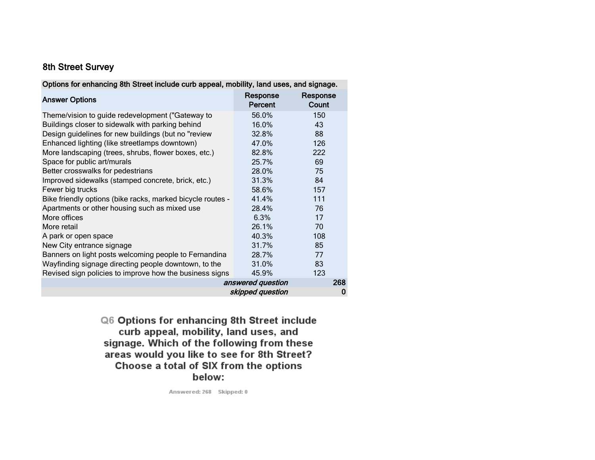| Options for enhancing 8th Street include curb appeal, mobility, land uses, and signage. |                     |                   |
|-----------------------------------------------------------------------------------------|---------------------|-------------------|
| <b>Answer Options</b>                                                                   | Response<br>Percent | Response<br>Count |
| Theme/vision to guide redevelopment ("Gateway to                                        | 56.0%               | 150               |
| Buildings closer to sidewalk with parking behind                                        | 16.0%               | 43                |
| Design guidelines for new buildings (but no "review                                     | 32.8%               | 88                |
| Enhanced lighting (like streetlamps downtown)                                           | 47.0%               | 126               |
| More landscaping (trees, shrubs, flower boxes, etc.)                                    | 82.8%               | 222               |
| Space for public art/murals                                                             | 25.7%               | 69                |
| Better crosswalks for pedestrians                                                       | 28.0%               | 75                |
| Improved sidewalks (stamped concrete, brick, etc.)                                      | 31.3%               | 84                |
| Fewer big trucks                                                                        | 58.6%               | 157               |
| Bike friendly options (bike racks, marked bicycle routes -                              | 41.4%               | 111               |
| Apartments or other housing such as mixed use                                           | 28.4%               | 76                |
| More offices                                                                            | 6.3%                | 17                |
| More retail                                                                             | 26.1%               | 70                |
| A park or open space                                                                    | 40.3%               | 108               |
| New City entrance signage                                                               | 31.7%               | 85                |
| Banners on light posts welcoming people to Fernandina                                   | 28.7%               | 77                |
| Wayfinding signage directing people downtown, to the                                    | 31.0%               | 83                |
| Revised sign policies to improve how the business signs                                 | 45.9%               | 123               |
|                                                                                         | answered question   | 268               |
|                                                                                         | skipped question    | 0                 |

Q6 Options for enhancing 8th Street include curb appeal, mobility, land uses, and signage. Which of the following from these areas would you like to see for 8th Street? Choose a total of SIX from the options below:

Answered: 268 Skipped: 0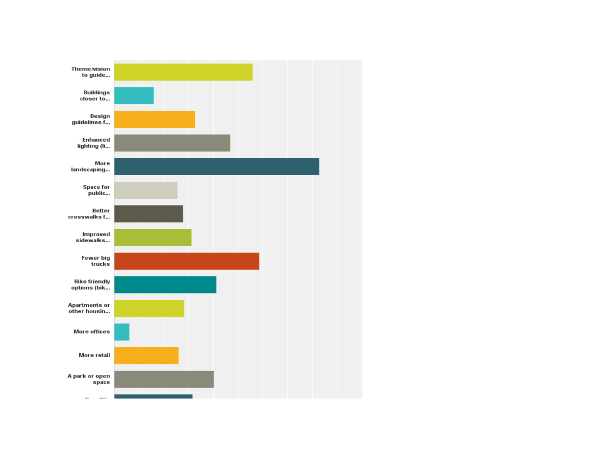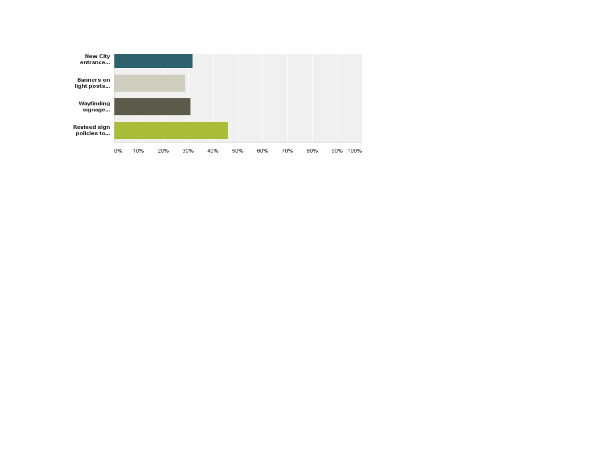